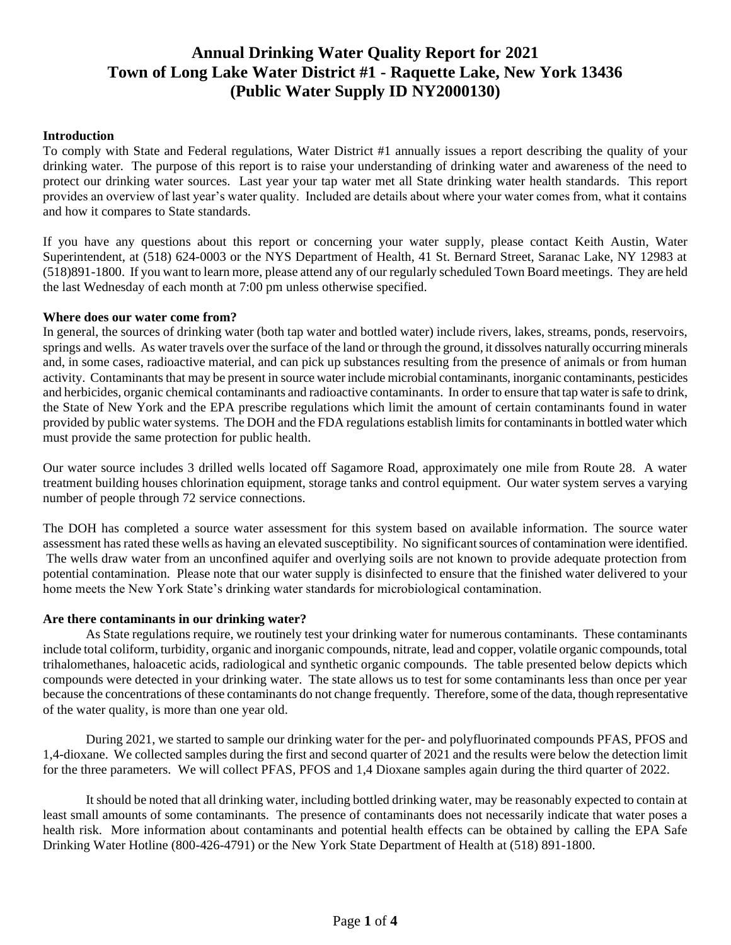# **Annual Drinking Water Quality Report for 2021 Town of Long Lake Water District #1 - Raquette Lake, New York 13436 (Public Water Supply ID NY2000130)**

# **Introduction**

To comply with State and Federal regulations, Water District #1 annually issues a report describing the quality of your drinking water. The purpose of this report is to raise your understanding of drinking water and awareness of the need to protect our drinking water sources. Last year your tap water met all State drinking water health standards. This report provides an overview of last year's water quality. Included are details about where your water comes from, what it contains and how it compares to State standards.

If you have any questions about this report or concerning your water supply, please contact Keith Austin, Water Superintendent, at (518) 624-0003 or the NYS Department of Health, 41 St. Bernard Street, Saranac Lake, NY 12983 at (518)891-1800. If you want to learn more, please attend any of our regularly scheduled Town Board meetings. They are held the last Wednesday of each month at 7:00 pm unless otherwise specified.

### **Where does our water come from?**

In general, the sources of drinking water (both tap water and bottled water) include rivers, lakes, streams, ponds, reservoirs, springs and wells. As water travels over the surface of the land or through the ground, it dissolves naturally occurring minerals and, in some cases, radioactive material, and can pick up substances resulting from the presence of animals or from human activity. Contaminants that may be present in source water include microbial contaminants, inorganic contaminants, pesticides and herbicides, organic chemical contaminants and radioactive contaminants. In order to ensure that tap water is safe to drink, the State of New York and the EPA prescribe regulations which limit the amount of certain contaminants found in water provided by public water systems. The DOH and the FDA regulations establish limits for contaminants in bottled water which must provide the same protection for public health.

Our water source includes 3 drilled wells located off Sagamore Road, approximately one mile from Route 28. A water treatment building houses chlorination equipment, storage tanks and control equipment. Our water system serves a varying number of people through 72 service connections.

The DOH has completed a source water assessment for this system based on available information. The source water assessment has rated these wells as having an elevated susceptibility. No significant sources of contamination were identified. The wells draw water from an unconfined aquifer and overlying soils are not known to provide adequate protection from potential contamination. Please note that our water supply is disinfected to ensure that the finished water delivered to your home meets the New York State's drinking water standards for microbiological contamination.

# **Are there contaminants in our drinking water?**

As State regulations require, we routinely test your drinking water for numerous contaminants. These contaminants include total coliform, turbidity, organic and inorganic compounds, nitrate, lead and copper, volatile organic compounds, total trihalomethanes, haloacetic acids, radiological and synthetic organic compounds. The table presented below depicts which compounds were detected in your drinking water. The state allows us to test for some contaminants less than once per year because the concentrations of these contaminants do not change frequently. Therefore, some of the data, though representative of the water quality, is more than one year old.

During 2021, we started to sample our drinking water for the per- and polyfluorinated compounds PFAS, PFOS and 1,4-dioxane. We collected samples during the first and second quarter of 2021 and the results were below the detection limit for the three parameters. We will collect PFAS, PFOS and 1,4 Dioxane samples again during the third quarter of 2022.

It should be noted that all drinking water, including bottled drinking water, may be reasonably expected to contain at least small amounts of some contaminants. The presence of contaminants does not necessarily indicate that water poses a health risk. More information about contaminants and potential health effects can be obtained by calling the EPA Safe Drinking Water Hotline (800-426-4791) or the New York State Department of Health at (518) 891-1800.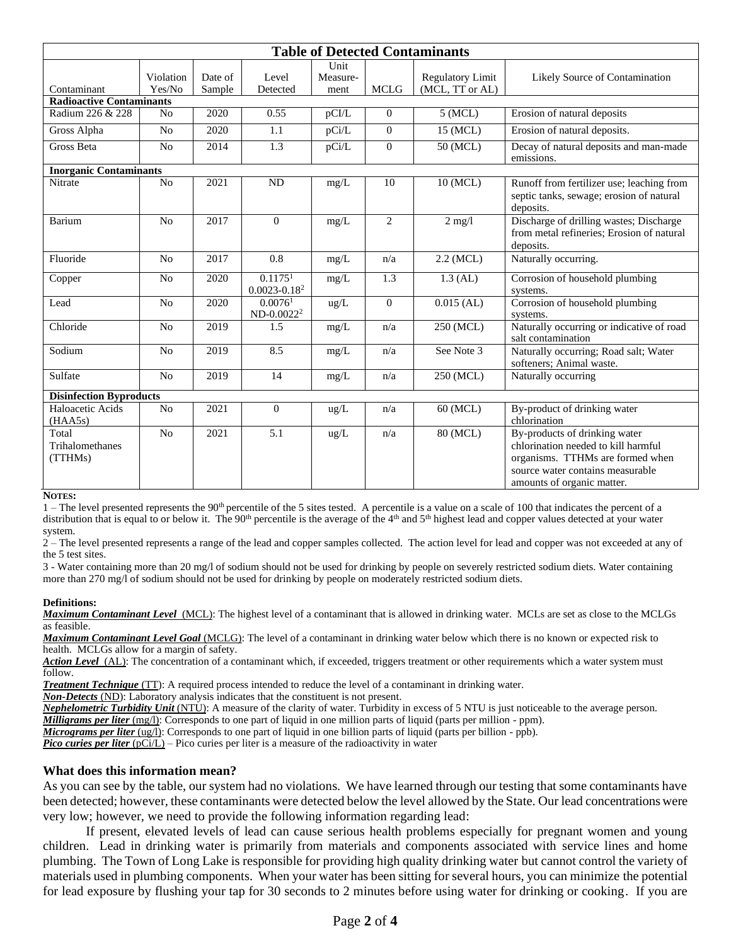| <b>Table of Detected Contaminants</b> |                     |                   |                                         |                          |                |                                            |                                                                                                                                                                            |  |  |
|---------------------------------------|---------------------|-------------------|-----------------------------------------|--------------------------|----------------|--------------------------------------------|----------------------------------------------------------------------------------------------------------------------------------------------------------------------------|--|--|
| Contaminant                           | Violation<br>Yes/No | Date of<br>Sample | Level<br>Detected                       | Unit<br>Measure-<br>ment | <b>MCLG</b>    | <b>Regulatory Limit</b><br>(MCL, TT or AL) | Likely Source of Contamination                                                                                                                                             |  |  |
| <b>Radioactive Contaminants</b>       |                     |                   |                                         |                          |                |                                            |                                                                                                                                                                            |  |  |
| Radium 226 & 228                      | N <sub>o</sub>      | 2020              | 0.55                                    | pCI/L                    | $\mathbf{0}$   | 5 (MCL)                                    | Erosion of natural deposits                                                                                                                                                |  |  |
| Gross Alpha                           | N <sub>o</sub>      | 2020              | 1.1                                     | pCi/L                    | $\mathbf{0}$   | 15 (MCL)                                   | Erosion of natural deposits.                                                                                                                                               |  |  |
| <b>Gross Beta</b>                     | N <sub>0</sub>      | 2014              | 1.3                                     | pCi/L                    | $\mathbf{0}$   | 50 (MCL)                                   | Decay of natural deposits and man-made<br>emissions.                                                                                                                       |  |  |
| <b>Inorganic Contaminants</b>         |                     |                   |                                         |                          |                |                                            |                                                                                                                                                                            |  |  |
| Nitrate                               | No                  | 2021              | ND                                      | mg/L                     | 10             | 10 (MCL)                                   | Runoff from fertilizer use; leaching from<br>septic tanks, sewage; erosion of natural<br>deposits.                                                                         |  |  |
| Barium                                | No                  | 2017              | $\Omega$                                | mg/L                     | $\overline{2}$ | $2$ mg/l                                   | Discharge of drilling wastes; Discharge<br>from metal refineries: Erosion of natural<br>deposits.                                                                          |  |  |
| Fluoride                              | N <sub>0</sub>      | 2017              | 0.8                                     | mg/L                     | n/a            | $2.2$ (MCL)                                | Naturally occurring.                                                                                                                                                       |  |  |
| Copper                                | N <sub>0</sub>      | 2020              | 0.1175 <sup>1</sup><br>$0.0023 - 0.182$ | mg/L                     | 1.3            | $1.3$ (AL)                                 | Corrosion of household plumbing<br>systems.                                                                                                                                |  |  |
| Lead                                  | N <sub>o</sub>      | 2020              | 0.0076 <sup>1</sup><br>$ND-0.0022^2$    | ug/L                     | $\Omega$       | $0.015$ (AL)                               | Corrosion of household plumbing<br>systems.                                                                                                                                |  |  |
| Chloride                              | N <sub>o</sub>      | $\overline{20}19$ | 1.5                                     | mg/L                     | n/a            | 250 (MCL)                                  | Naturally occurring or indicative of road<br>salt contamination                                                                                                            |  |  |
| Sodium                                | N <sub>o</sub>      | 2019              | 8.5                                     | mg/L                     | n/a            | See Note 3                                 | Naturally occurring; Road salt; Water<br>softeners; Animal waste.                                                                                                          |  |  |
| Sulfate                               | N <sub>o</sub>      | 2019              | 14                                      | mg/L                     | n/a            | 250 (MCL)                                  | Naturally occurring                                                                                                                                                        |  |  |
| <b>Disinfection Byproducts</b>        |                     |                   |                                         |                          |                |                                            |                                                                                                                                                                            |  |  |
| Haloacetic Acids<br>(HAA5s)           | N <sub>o</sub>      | 2021              | $\mathbf{0}$                            | ug/L                     | n/a            | 60 (MCL)                                   | By-product of drinking water<br>chlorination                                                                                                                               |  |  |
| Total<br>Trihalomethanes<br>(TTHMs)   | N <sub>o</sub>      | 2021              | 5.1                                     | ug/L                     | n/a            | 80 (MCL)                                   | By-products of drinking water<br>chlorination needed to kill harmful<br>organisms. TTHMs are formed when<br>source water contains measurable<br>amounts of organic matter. |  |  |

#### **NOTES:**

 $1$  – The level presented represents the 90<sup>th</sup> percentile of the 5 sites tested. A percentile is a value on a scale of 100 that indicates the percent of a distribution that is equal to or below it. The  $90<sup>th</sup>$  percentile is the average of the  $4<sup>th</sup>$  and  $5<sup>th</sup>$  highest lead and copper values detected at your water system.

2 – The level presented represents a range of the lead and copper samples collected. The action level for lead and copper was not exceeded at any of the 5 test sites.

3 - Water containing more than 20 mg/l of sodium should not be used for drinking by people on severely restricted sodium diets. Water containing more than 270 mg/l of sodium should not be used for drinking by people on moderately restricted sodium diets.

#### **Definitions:**

*Maximum Contaminant Level*(MCL): The highest level of a contaminant that is allowed in drinking water. MCLs are set as close to the MCLGs as feasible.

*Maximum Contaminant Level Goal* (MCLG): The level of a contaminant in drinking water below which there is no known or expected risk to health. MCLGs allow for a margin of safety.

*Action Level*(AL): The concentration of a contaminant which, if exceeded, triggers treatment or other requirements which a water system must follow.

*Treatment Technique* (TT): A required process intended to reduce the level of a contaminant in drinking water.

*Non-Detects* (ND): Laboratory analysis indicates that the constituent is not present.

*Nephelometric Turbidity Unit* (NTU): A measure of the clarity of water. Turbidity in excess of 5 NTU is just noticeable to the average person. *Milligrams per liter* (mg/l): Corresponds to one part of liquid in one million parts of liquid (parts per million - ppm).

*Micrograms per liter* (ug/l): Corresponds to one part of liquid in one billion parts of liquid (parts per billion - ppb).

*Pico curies per liter* (pCi/L) – Pico curies per liter is a measure of the radioactivity in water

### **What does this information mean?**

As you can see by the table, our system had no violations. We have learned through our testing that some contaminants have been detected; however, these contaminants were detected below the level allowed by the State. Our lead concentrations were very low; however, we need to provide the following information regarding lead:

If present, elevated levels of lead can cause serious health problems especially for pregnant women and young children. Lead in drinking water is primarily from materials and components associated with service lines and home plumbing. The Town of Long Lake is responsible for providing high quality drinking water but cannot control the variety of materials used in plumbing components. When your water has been sitting for several hours, you can minimize the potential for lead exposure by flushing your tap for 30 seconds to 2 minutes before using water for drinking or cooking. If you are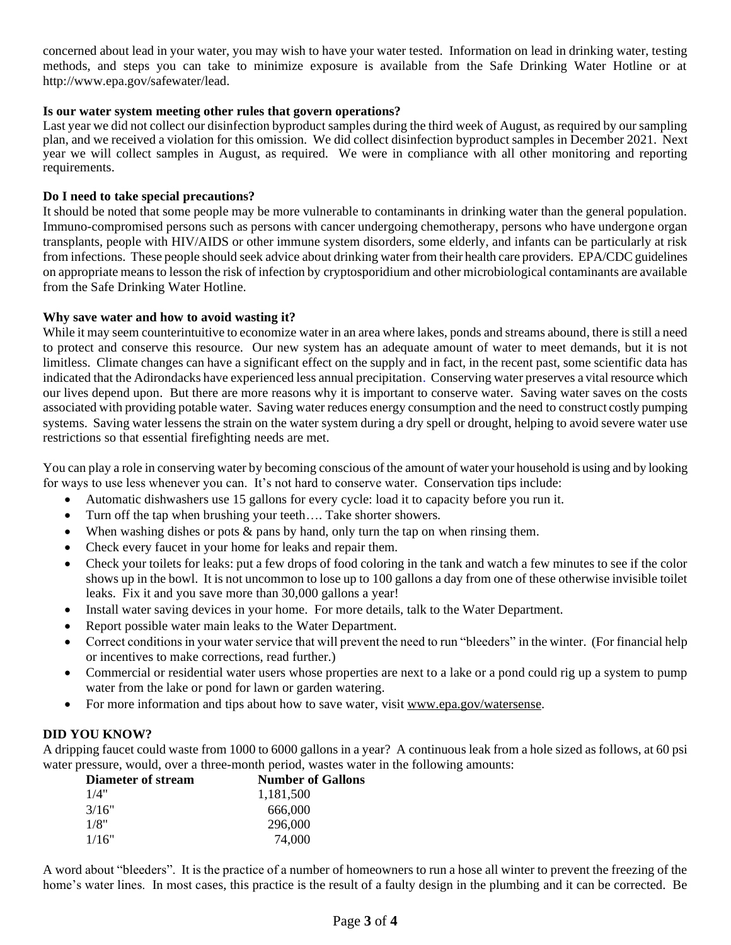concerned about lead in your water, you may wish to have your water tested. Information on lead in drinking water, testing methods, and steps you can take to minimize exposure is available from the Safe Drinking Water Hotline or at http://www.epa.gov/safewater/lead.

# **Is our water system meeting other rules that govern operations?**

Last year we did not collect our disinfection byproduct samples during the third week of August, as required by our sampling plan, and we received a violation for this omission. We did collect disinfection byproduct samples in December 2021. Next year we will collect samples in August, as required. We were in compliance with all other monitoring and reporting requirements.

# **Do I need to take special precautions?**

It should be noted that some people may be more vulnerable to contaminants in drinking water than the general population. Immuno-compromised persons such as persons with cancer undergoing chemotherapy, persons who have undergone organ transplants, people with HIV/AIDS or other immune system disorders, some elderly, and infants can be particularly at risk from infections. These people should seek advice about drinking water from their health care providers. EPA/CDC guidelines on appropriate means to lesson the risk of infection by cryptosporidium and other microbiological contaminants are available from the Safe Drinking Water Hotline.

## **Why save water and how to avoid wasting it?**

While it may seem counterintuitive to economize water in an area where lakes, ponds and streams abound, there is still a need to protect and conserve this resource. Our new system has an adequate amount of water to meet demands, but it is not limitless. Climate changes can have a significant effect on the supply and in fact, in the recent past, some scientific data has indicated that the Adirondacks have experienced less annual precipitation. Conserving water preserves a vital resource which our lives depend upon. But there are more reasons why it is important to conserve water. Saving water saves on the costs associated with providing potable water. Saving water reduces energy consumption and the need to construct costly pumping systems. Saving water lessens the strain on the water system during a dry spell or drought, helping to avoid severe water use restrictions so that essential firefighting needs are met.

You can play a role in conserving water by becoming conscious of the amount of water your household is using and by looking for ways to use less whenever you can. It's not hard to conserve water. Conservation tips include:

- Automatic dishwashers use 15 gallons for every cycle: load it to capacity before you run it.
- Turn off the tap when brushing your teeth.... Take shorter showers.
- When washing dishes or pots  $\&$  pans by hand, only turn the tap on when rinsing them.
- Check every faucet in your home for leaks and repair them.
- Check your toilets for leaks: put a few drops of food coloring in the tank and watch a few minutes to see if the color shows up in the bowl. It is not uncommon to lose up to 100 gallons a day from one of these otherwise invisible toilet leaks. Fix it and you save more than 30,000 gallons a year!
- Install water saving devices in your home. For more details, talk to the Water Department.
- Report possible water main leaks to the Water Department.
- Correct conditions in your water service that will prevent the need to run "bleeders" in the winter. (For financial help or incentives to make corrections, read further.)
- Commercial or residential water users whose properties are next to a lake or a pond could rig up a system to pump water from the lake or pond for lawn or garden watering.
- For more information and tips about how to save water, visit [www.epa.gov/watersense.](http://www.epa.gov/watersense)

# **DID YOU KNOW?**

A dripping faucet could waste from 1000 to 6000 gallons in a year? A continuous leak from a hole sized as follows, at 60 psi water pressure, would, over a three-month period, wastes water in the following amounts:

| <b>Diameter of stream</b> | <b>Number of Gallons</b> |  |  |
|---------------------------|--------------------------|--|--|
| 1/4"                      | 1.181.500                |  |  |
| 3/16"                     | 666,000                  |  |  |
| 1/8"                      | 296,000                  |  |  |
| 1/16"                     | 74,000                   |  |  |

A word about "bleeders". It is the practice of a number of homeowners to run a hose all winter to prevent the freezing of the home's water lines. In most cases, this practice is the result of a faulty design in the plumbing and it can be corrected. Be